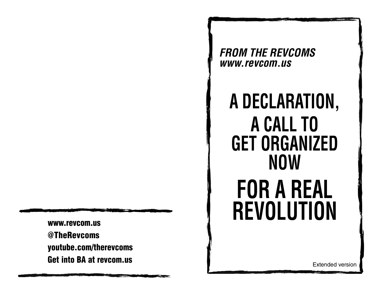**www.revcom.us@TheRevcoms youtube.com/therevcoms Get into BA at revcom.us**

*FROM THE REVCOMS www.revcom.us* 

# **A DECLARATION, A CALL TO GET ORGANIZED NOWFOR A REAL REVOLUTION**

Extended version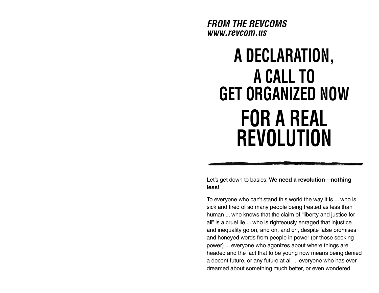*FROM THE REVCOMS www.revcom.us* 

## **A DECLARATION, A CALL TO GET ORGANIZED NOWFOR A REAL REVOLUTION**

Let's get down to basics: **We need a revolution—nothing less!**

To everyone who can't stand this world the way it is ... who is sick and tired of so many people being treated as less than human ... who knows that the claim of "liberty and justice for all" is a cruel lie ... who is righteously enraged that injustice and inequality go on, and on, and on, despite false promises and honeyed words from people in power (or those seeking power) ... everyone who agonizes about where things are headed and the fact that to be young now means being denied a decent future, or any future at all ... everyone who has ever dreamed about something much better, or even wondered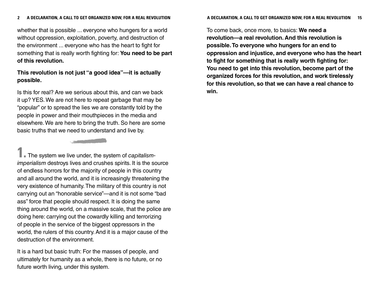whether that is possible ... everyone who hungers for a world without oppression, exploitation, poverty, and destruction of the environment ... everyone who has the heart to fight for something that is really worth fighting for: **You need to be part of this revolution.**

## **This revolution is not just "a good idea"—it is actually possible.**

Is this for real? Are we serious about this, and can we back it up? YES. We are not here to repeat garbage that may be "popular" or to spread the lies we are constantly told by the people in power and their mouthpieces in the media and elsewhere. We are here to bring the truth. So here are some basic truths that we need to understand and live by.

**Contract of the Contract of the Contract of the Contract of the Contract of the Contract of the Contract of the Contract of the Contract of The Contract of The Contract of The Contract of The Contract of The Contract of T** 

**The system we live under, the system of capitalism**imperialism destroys lives and crushes spirits. It is the source of endless horrors for the majority of people in this country and all around the world, and it is increasingly threatening the very existence of humanity. The military of this country is not carrying out an "honorable service"—and it is not some "bad ass" force that people should respect. It is doing the same thing around the world, on a massive scale, that the police are doing here: carrying out the cowardly killing and terrorizing of people in the service of the biggest oppressors in the world, the rulers of this country. And it is a major cause of the destruction of the environment.

It is a hard but basic truth: For the masses of people, and ultimately for humanity as a whole, there is no future, or no future worth living, under this system.

To come back, once more, to basics: **We need a revolution—a real revolution. And this revolution is possible. To everyone who hungers for an end to oppression and injustice, and everyone who has the heart to fight for something that is really worth fighting for: You need to get into this revolution, become part of the organized forces for this revolution, and work tirelessly for this revolution, so that we can have a real chance to win.**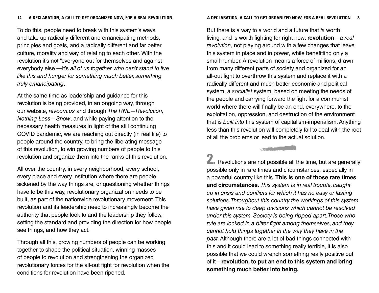To do this, people need to break with this system's ways and take up radically different and emancipating methods, principles and goals, and a radically different and far better culture, morality and way of relating to each other. With the revolution it's not "everyone out for themselves and against everybody else"—it's all of us together who can't stand to live like this and hunger for something much better, something truly emancipating.

At the same time as leadership and guidance for this revolution is being provided, in an ongoing way, through our website, revcom.us and through The RNL—Revolution, Nothing Less—Show, and while paying attention to the necessary health measures in light of the still continuing COVID pandemic, we are reaching out directly (in real life) to people around the country, to bring the liberating message of this revolution, to win growing numbers of people to this revolution and organize them into the ranks of this revolution.

All over the country, in every neighborhood, every school, every place and every institution where there are people sickened by the way things are, or questioning whether things have to be this way, revolutionary organization needs to be built, as part of the nationwide revolutionary movement. This revolution and its leadership need to increasingly become the authority that people look to and the leadership they follow, setting the standard and providing the direction for how people see things, and how they act.

Through all this, growing numbers of people can be working together to shape the political situation, winning masses of people to revolution and strengthening the organized revolutionary forces for the all-out fight for revolution when the conditions for revolution have been ripened.

#### **A DECLARATION, A CALL TO GET ORGANIZED NOW, FOR A REAL REVOLUTION 3**

But there is a way to a world and a future that is worth living, and is worth fighting for right now: **revolution** —a real revolution, not playing around with a few changes that leave this system in place and in power, while benefitting only a small number. A revolution means a force of millions, drawn from many different parts of society and organized for an all-out fight to overthrow this system and replace it with a radically different and much better economic and political system, a socialist system, based on meeting the needs of the people and carrying forward the fight for a communist world where there will finally be an end, everywhere, to the exploitation, oppression, and destruction of the environment that is built into this system of capitalism-imperialism. Anything less than this revolution will completely fail to deal with the root of all the problems or lead to the actual solution.

**2.** Revolutions are not possible all the time, but are generally possible only in rare times and circumstances, especially in a powerful country like this. **This is one of those rare times and circumstances.** This system is in real trouble, caught up in crisis and conflicts for which it has no easy or lasting solutions. Throughout this country the workings of this system have given rise to deep divisions which cannot be resolved under this system. Society is being ripped apart. Those who rule are locked in a bitter fight among themselves, and they cannot hold things together in the way they have in the past. Although there are a lot of bad things connected with this and it could lead to something really terrible, it is also possible that we could wrench something really positive out of it—**revolution, to put an end to this system and bring something much better into being.**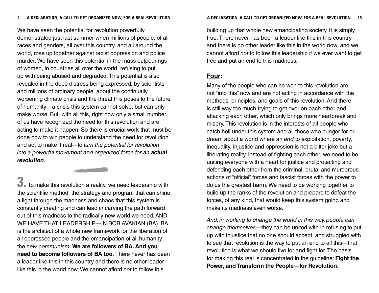We have seen the potential for revolution powerfully demonstrated just last summer when millions of people, of all races and genders, all over this country, and all around the world, rose up together against racist oppression and police murder. We have seen this potential in the mass outpourings of women, in countries all over the world, refusing to put up with being abused and degraded. This potential is also revealed in the deep distress being expressed, by scientists and millions of ordinary people, about the continually worsening climate crisis and the threat this poses to the future of humanity—a crisis this system cannot solve, but can only make worse. But, with all this, right now only a small number of us have recognized the need for this revolution and are acting to make it happen. So there is crucial work that must be done now to win people to understand the need for revolution and act to make it real—to turn the potential for revolution into a powerful movement and organized force for an *actual revolution*.

**3.** To make this revolution a reality, we need leadership with the scientific method, the strategy and program that can shine a light through the madness and chaos that this system is constantly creating and can lead in carving the path forward out of this madness to the radically new world we need. AND WE HAVE THAT LEADERSHIP—IN BOB AVAKIAN (BA). BA is the architect of a whole new framework for the liberation of all oppressed people and the emancipation of all humanity: the new communism. **We are followers of BA. And you need to become followers of BA too.** There never has been a leader like this in this country and there is no other leader like this in the world now. We cannot afford not to follow this

building up that whole new emancipating society. It is simply true: There never has been a leader like this in this country and there is no other leader like this in the world now, and we cannot afford not to follow this leadership if we ever want to get free and put an end to this madness.

## **Four:**

Many of the people who can be won to this revolution are not "into this" now and are not acting in accordance with the methods, principles, and goals of this revolution. And there is still way too much trying to get over on each other and attacking each other, which only brings more heartbreak and misery. This revolution is in the interests of all people who catch hell under this system and all those who hunger for or dream about a world where an end to exploitation, poverty, inequality, injustice and oppression is not a bitter joke but a liberating reality. Instead of fighting each other, we need to be uniting everyone with a heart for justice and protecting and defending each other from the criminal, brutal and murderous actions of "official" forces and fascist forces with the power to do us the greatest harm. We need to be working together to build up the ranks of the revolution and prepare to defeat the forces, of any kind, that would keep this system going and make its madness even worse.

And, in working to change the world in this way, people can change themselves—they can be united with in refusing to put up with injustice that no one should accept, and struggled with to see that revolution is the way to put an end to all this—that revolution is what we should live for and fight for. The basis for making this real is concentrated in the guideline: **Fight the Power, and Transform the People—for Revolution**.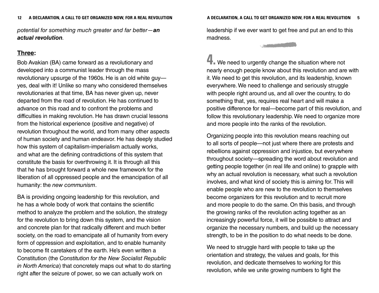potential for something much greater and far better—*an actual revolution*.

## **Three:**

Bob Avakian (BA) came forward as a revolutionary and developed into a communist leader through the mass revolutionary upsurge of the 1960s. He is an old white guy yes, deal with it! Unlike so many who considered themselves revolutionaries at that time, BA has never given up, never departed from the road of revolution. He has continued to advance on this road and to confront the problems and difficulties in making revolution. He has drawn crucial lessons from the historical experience (positive and negative) of revolution throughout the world, and from many other aspects of human society and human endeavor. He has deeply studied how this system of capitalism-imperialism actually works, and what are the defining contradictions of this system that constitute the basis for overthrowing it. It is through all this that he has brought forward a whole new framework for the liberation of all oppressed people and the emancipation of all humanity: the new communism.

BA is providing ongoing leadership for this revolution, and he has a whole body of work that contains the scientific method to analyze the problem and the solution, the strategy for the revolution to bring down this system, and the vision and concrete plan for that radically different and much better society, on the road to emancipate all of humanity from every form of oppression and exploitation, and to enable humanity to become fit caretakers of the earth. He's even written a Constitution (the Constitution for the New Socialist Republic in North America) that concretely maps out what to do starting right after the seizure of power, so we can actually work on

leadership if we ever want to get free and put an end to this madness.

**4.** We need to urgently change the situation where not nearly enough people know about this revolution and are with it. We need to get this revolution, and its leadership, known everywhere. We need to challenge and seriously struggle with people right around us, and all over the country, to do something that, yes, requires real heart and will make a positive difference for real—become part of this revolution, and follow this revolutionary leadership. We need to organize more and more people into the ranks of the revolution.

Organizing people into this revolution means reaching out to all sorts of people—not just where there are protests and rebellions against oppression and injustice, but everywhere throughout society—spreading the word about revolution and getting people together (in real life and online) to grapple with why an actual revolution is necessary, what such a revolution involves, and what kind of society this is aiming for. This will enable people who are new to the revolution to themselves become organizers for this revolution and to recruit more and more people to do the same. On this basis, and through the growing ranks of the revolution acting together as an increasingly powerful force, it will be possible to attract and organize the necessary numbers, and build up the necessary strength, to be in the position to do what needs to be done.

We need to struggle hard with people to take up the orientation and strategy, the values and goals, for this revolution, and dedicate themselves to working for this revolution, while we unite growing numbers to fight the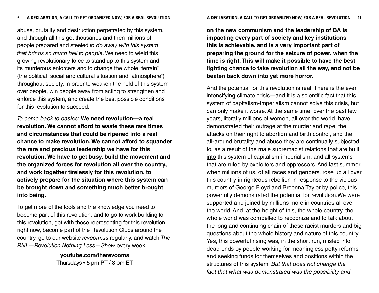abuse, brutality and destruction perpetrated by this system, and through all this get thousands and then millions of people prepared and steeled to do away with this system that brings so much hell to people. We need to wield this growing revolutionary force to stand up to this system and its murderous enforcers and to change the whole "terrain" (the political, social and cultural situation and "atmosphere") throughout society, in order to weaken the hold of this system over people, win people away from acting to strengthen and enforce this system, and create the best possible conditions for this revolution to succeed.

To come back to basics: **We need revolution—a real revolution. We cannot afford to waste these rare times and circumstances that could be ripened into a real chance to make revolution. We cannot afford to squander the rare and precious leadership we have for this revolution. We have to get busy, build the movement and the organized forces for revolution all over the country, and work together tirelessly for this revolution, to actively prepare for the situation where this system can be brought down and something much better brought into being.**

To get more of the tools and the knowledge you need to become part of this revolution, and to go to work building for this revolution, get with those representing for this revolution right now, become part of the Revolution Clubs around the country, go to our website revcom.us regularly, and watch The RNL—Revolution Nothing Less—Show every week.

> **youtube.com/therevcoms** Thursdays • 5 pm PT / 8 pm ET

**on the new communism and the leadership of BA is impacting every part of society and key institutions this is achievable, and is a very important part of preparing the ground for the seizure of power, when the time is right. This will make it possible to have the best fighting chance to take revolution all the way, and not be beaten back down into yet more horror.**

And the potential for this revolution is real. There is the ever intensifying climate crisis—and it is a scientific fact that this system of capitalism-imperialism cannot solve this crisis, but can only make it worse. At the same time, over the past few years, literally millions of women, all over the world, have demonstrated their outrage at the murder and rape, the attacks on their right to abortion and birth control, and the all-around brutality and abuse they are continually subjected to, as a result of the male supremacist relations that are built into this system of capitalism-imperialism, and all systems that are ruled by exploiters and oppressors. And last summer, when millions of us, of all races and genders, rose up all over this country in righteous rebellion in response to the vicious murders of George Floyd and Breonna Taylor by police, this powerfully demonstrated the potential for revolution.We were supported and joined by millions more in countries all over the world. And, at the height of this, the whole country, the whole world was compelled to recognize and to talk about the long and continuing chain of these racist murders and big questions about the whole history and nature of this country. Yes, this powerful rising was, in the short run, misled into dead-ends by people working for meaningless petty reforms and seeking funds for themselves and positions within the structures of this system. But that does not change the fact that what was demonstrated was the possibility and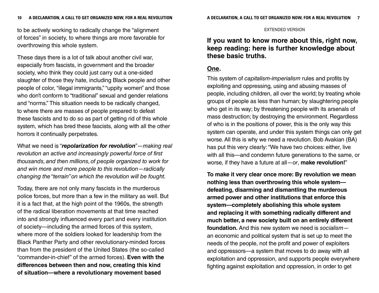to be actively working to radically change the "alignment of forces" in society, to where things are more favorable for overthrowing this whole system.

These days there is a lot of talk about another civil war, especially from fascists, in government and the broader society, who think they could just carry out a one-sided slaughter of those they hate, including Black people and other people of color, "illegal immigrants," "uppity women" and those who don't conform to "traditional" sexual and gender relations and "norms." This situation needs to be radically changed, to where there are masses of people prepared to defeat these fascists and to do so as part of getting rid of this whole system, which has bred these fascists, along with all the other horrors it continually perpetrates.

What we need is "*repolarization for revolution*"—making real revolution an active and increasingly powerful force of first thousands, and then millions, of people organized to work for and win more and more people to this revolution—radically changing the "terrain" on which the revolution will be fought.

Today, there are not only many fascists in the murderous police forces, but more than a few in the military as well. But it is a fact that, at the high point of the 1960s, the strength of the radical liberation movements at that time reached into and strongly influenced every part and every institution of society—including the armed forces of this system, where more of the soldiers looked for leadership from the Black Panther Party and other revolutionary-minded forces than from the president of the United States (the so-called "commander-in-chief" of the armed forces). **Even with the differences between then and now, creating this kind of situation—where a revolutionary movement based** 

#### EXTENDED VERSION

**If you want to know more about this, right now, keep reading: here is further knowledge about these basic truths.**

## **One.**

This system of capitalism-imperialism rules and profits by exploiting and oppressing, using and abusing masses of people, including children, all over the world; by treating whole groups of people as less than human; by slaughtering people who get in its way; by threatening people with its arsenals of mass destruction; by destroying the environment. Regardless of who is in the positions of power, this is the only way this system can operate, and under this system things can only get worse. All this is why we need a revolution. Bob Avakian (BA) has put this very clearly: "We have two choices: either, live with all this—and condemn future generations to the same, or worse, if they have a future at all—or, **make revolution!**"

**To make it very clear once more: By revolution we mean nothing less than overthrowing this whole system defeating, disarming and dismantling the murderous armed power and other institutions that enforce this system—completely abolishing this whole system and replacing it with something radically different and much better, a new society built on an entirely different foundation.** And this new system we need is socialism an economic and political system that is set up to meet the needs of the people, not the profit and power of exploiters and oppressors—a system that moves to do away with all exploitation and oppression, and supports people everywhere fighting against exploitation and oppression, in order to get